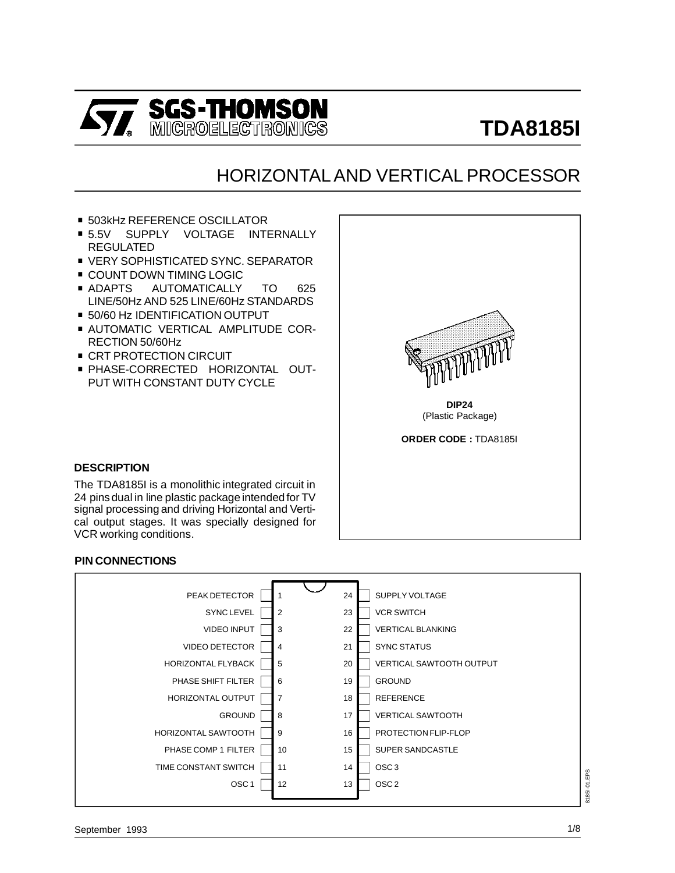

# **TDA8185I**

## HORIZONTAL AND VERTICAL PROCESSOR

- 503kHz REFERENCE OSCILLATOR<br>■ 5.5V SUPPLY VOLTAGE INTI
- SUPPLY VOLTAGE INTERNALLY REGULATED ■ 5.5V SUPPLY VOLTAGE INTERNALLY<br>REGULATED<br>■ VERY SOPHISTICATED SYNC. SEPARATOR
- REGULATED<br>■ VERY SOPHISTICATED SYNC.<br>■ COUNT DOWN TIMING LOGIC
- 
- VERY SOPHISTICATED SYNC. SEPARATOR<br>■ COUNT DOWN TIMING LOGIC<br>■ ADAPTS AUTOMATICALLY TO 625 LINE/50Hz AND 525 LINE/60Hz STANDARDS ■ ADAPTS AUTOMATICALLY TO<br>LINE/50Hz AND 525 LINE/60Hz STANI<br>■ 50/60 Hz IDENTIFICATION OUTPUT
- 
- . AUTOMATIC VERTICAL AMPLITUDE COR-RECTION 50/60Hz
- **CRT PROTECTION CIRCUIT**
- . PHASE-CORRECTED HORIZONTAL OUT-PUT WITH CONSTANT DUTY CYCLE



**ORDER CODE :** TDA8185I

#### **DESCRIPTION**

The TDA8185I is a monolithic integrated circuit in 24 pins dual in line plastic package intended for TV signal processing and driving Horizontal and Vertical output stages. It was specially designed for VCR working conditions.

#### **PIN CONNECTIONS**

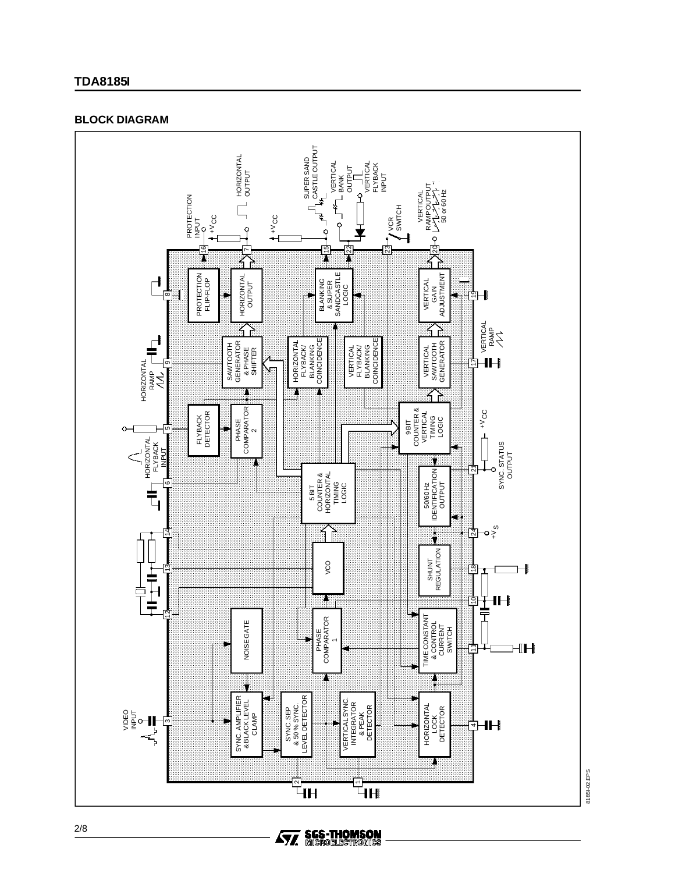#### **TDA8185I**

#### **BLOCK DIAGRAM**

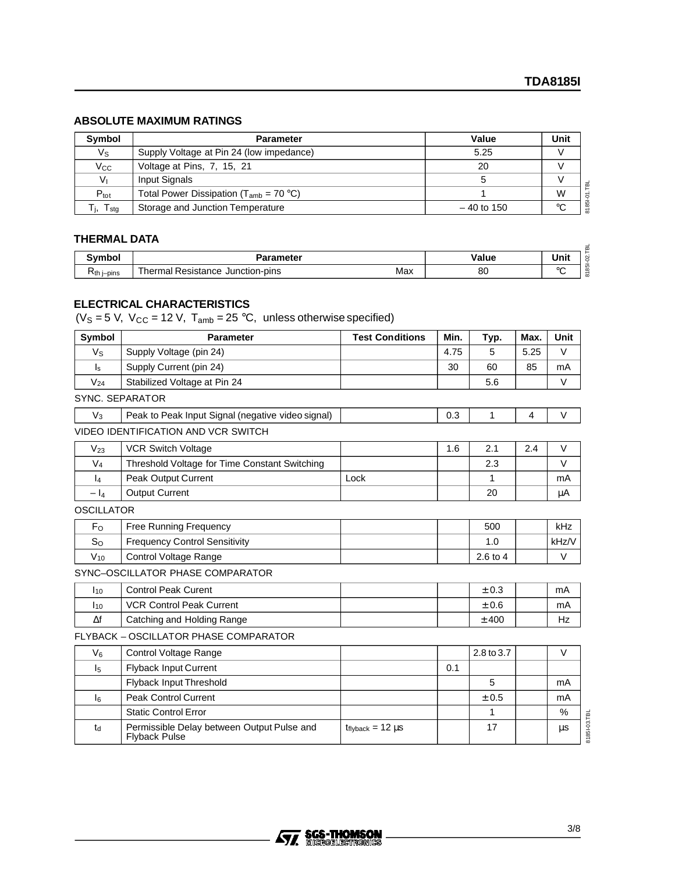#### **ABSOLUTE MAXIMUM RATINGS**

| <b>Symbol</b>    | <b>Parameter</b>                             | Value        | Unit |
|------------------|----------------------------------------------|--------------|------|
| Vs               | Supply Voltage at Pin 24 (low impedance)     | 5.25         |      |
| $V_{\rm CC}$     | Voltage at Pins, 7, 15, 21                   | 20           |      |
| Vı               | Input Signals                                |              |      |
| $P_{\text{tot}}$ | Total Power Dissipation ( $T_{amb}$ = 70 °C) |              | W    |
| $T_{\text{stg}}$ | Storage and Junction Temperature             | $-40$ to 150 | °C   |

#### **THERMAL DATA**

| THEINMAL DAIA |                                                |       |      |                           |  |  |  |
|---------------|------------------------------------------------|-------|------|---------------------------|--|--|--|
| ີ`'mbol .     | <b>Parameter</b>                               | Value | Unit | $\sim$                    |  |  |  |
| $Rth$ i–pins  | Thermal<br>al Resistance Junction-pins.<br>Max | õU    | ገጦ   | $\infty$<br>-<br>$\infty$ |  |  |  |

#### **ELECTRICAL CHARACTERISTICS**

( $V_s = 5$  V,  $V_{CC} = 12$  V,  $T_{amb} = 25$  °C, unless otherwise specified)

| Symbol                  | <b>Parameter</b>                                                   | <b>Test Conditions</b>   | Min. | Typ.       | Max. | Unit                    |
|-------------------------|--------------------------------------------------------------------|--------------------------|------|------------|------|-------------------------|
| $V_{\rm S}$             | Supply Voltage (pin 24)                                            |                          | 4.75 | 5          | 5.25 | $\vee$                  |
| $\mathsf{I}_\mathsf{S}$ | Supply Current (pin 24)                                            |                          | 30   | 60         | 85   | mA                      |
| $V_{24}$                | Stabilized Voltage at Pin 24                                       |                          |      | 5.6        |      | V                       |
| <b>SYNC. SEPARATOR</b>  |                                                                    |                          |      |            |      |                         |
| $V_3$                   | Peak to Peak Input Signal (negative video signal)                  |                          | 0.3  | 1          | 4    | V                       |
|                         | <b>VIDEO IDENTIFICATION AND VCR SWITCH</b>                         |                          |      |            |      |                         |
| $V_{23}$                | <b>VCR Switch Voltage</b>                                          |                          | 1.6  | 2.1        | 2.4  | $\vee$                  |
| $V_4$                   | Threshold Voltage for Time Constant Switching                      |                          |      | 2.3        |      | $\vee$                  |
| $\mathsf{I}_4$          | <b>Peak Output Current</b>                                         | Lock                     |      | 1          |      | mA                      |
| $- I_4$                 | <b>Output Current</b>                                              |                          |      | 20         |      | μA                      |
| <b>OSCILLATOR</b>       |                                                                    |                          |      |            |      |                         |
| F <sub>o</sub>          | Free Running Frequency                                             |                          |      | 500        |      | kHz                     |
| $S_{O}$                 | <b>Frequency Control Sensitivity</b>                               |                          |      | 1.0        |      | kHz/V                   |
| $V_{10}$                | <b>Control Voltage Range</b>                                       |                          |      | 2.6 to 4   |      | $\vee$                  |
|                         | SYNC-OSCILLATOR PHASE COMPARATOR                                   |                          |      |            |      |                         |
| $I_{10}$                | <b>Control Peak Curent</b>                                         |                          |      | ± 0.3      |      | mA                      |
| $I_{10}$                | <b>VCR Control Peak Current</b>                                    |                          |      | ± 0.6      |      | mA                      |
| $\Delta f$              | Catching and Holding Range                                         |                          |      | $±$ 400    |      | Hz                      |
|                         | FLYBACK - OSCILLATOR PHASE COMPARATOR                              |                          |      |            |      |                         |
| $V_6$                   | Control Voltage Range                                              |                          |      | 2.8 to 3.7 |      | V                       |
| $\mathsf{I}_5$          | <b>Flyback Input Current</b>                                       |                          | 0.1  |            |      |                         |
|                         | Flyback Input Threshold                                            |                          |      | 5          |      | mA                      |
| I <sub>6</sub>          | <b>Peak Control Current</b>                                        |                          |      | ± 0.5      |      | mA                      |
|                         | <b>Static Control Error</b>                                        |                          |      | 1          |      | $\%$                    |
| $t_d$                   | Permissible Delay between Output Pulse and<br><b>Flyback Pulse</b> | $t_{flyback} = 12 \mu s$ |      | 17         |      | 81851-03.TBL<br>$\mu s$ |

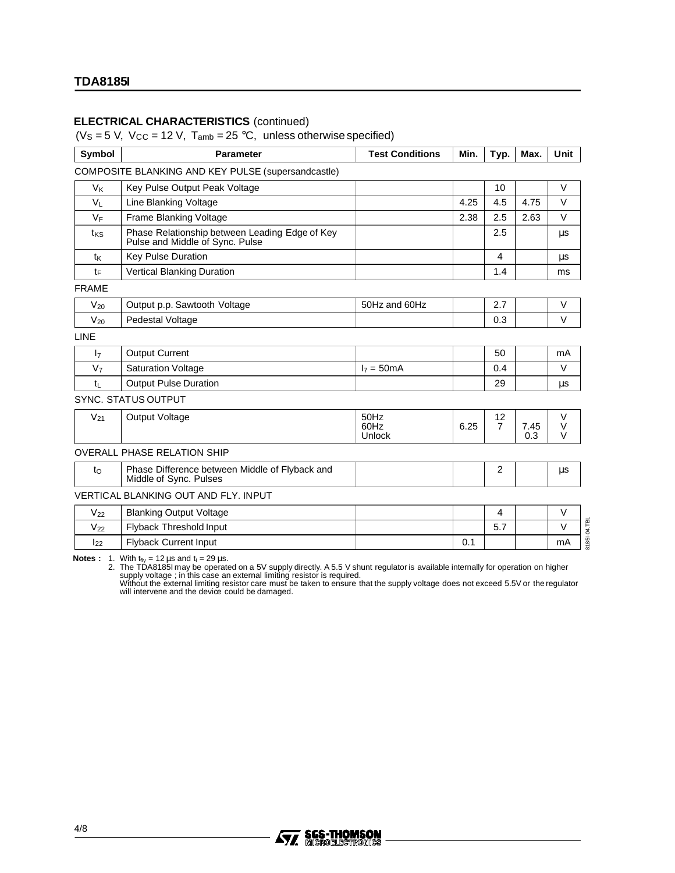#### **ELECTRICAL CHARACTERISTICS** (continued)

( $V_s = 5$  V,  $V_{CC} = 12$  V,  $T_{amb} = 25$  °C, unless otherwise specified)

| Symbol          | <b>Parameter</b>                                                                  | <b>Test Conditions</b>        | Min. | Typ.                 | Max.        | <b>Unit</b>           |
|-----------------|-----------------------------------------------------------------------------------|-------------------------------|------|----------------------|-------------|-----------------------|
|                 | COMPOSITE BLANKING AND KEY PULSE (supersandcastle)                                |                               |      |                      |             |                       |
| V <sub>K</sub>  | Key Pulse Output Peak Voltage                                                     |                               |      | 10                   |             | $\vee$                |
| $V_L$           | Line Blanking Voltage                                                             |                               | 4.25 | 4.5                  | 4.75        | $\vee$                |
| VF              | Frame Blanking Voltage                                                            |                               | 2.38 | 2.5                  | 2.63        | $\vee$                |
| t <sub>KS</sub> | Phase Relationship between Leading Edge of Key<br>Pulse and Middle of Sync. Pulse |                               |      | 2.5                  |             | μs                    |
| t <sub>K</sub>  | <b>Key Pulse Duration</b>                                                         |                               |      | 4                    |             | μs                    |
| tF              | <b>Vertical Blanking Duration</b>                                                 |                               |      | 1.4                  |             | ms                    |
| <b>FRAME</b>    |                                                                                   |                               |      |                      |             |                       |
| $V_{20}$        | Output p.p. Sawtooth Voltage                                                      | 50Hz and 60Hz                 |      | 2.7                  |             | $\vee$                |
| $V_{20}$        | Pedestal Voltage                                                                  |                               |      | 0.3                  |             | $\vee$                |
| <b>LINE</b>     |                                                                                   |                               |      |                      |             |                       |
| 17              | <b>Output Current</b>                                                             |                               |      | 50                   |             | mA                    |
| V <sub>7</sub>  | <b>Saturation Voltage</b>                                                         | $17 = 50 \text{mA}$           |      | 0.4                  |             | V                     |
| $t_{\rm L}$     | <b>Output Pulse Duration</b>                                                      |                               |      | 29                   |             | $\mu s$               |
|                 | <b>SYNC. STATUS OUTPUT</b>                                                        |                               |      |                      |             |                       |
| $V_{21}$        | Output Voltage                                                                    | 50Hz<br>60Hz<br><b>Unlock</b> | 6.25 | 12<br>$\overline{7}$ | 7.45<br>0.3 | V<br>$\vee$<br>$\vee$ |
|                 | <b>OVERALL PHASE RELATION SHIP</b>                                                |                               |      |                      |             |                       |
| $t_{\rm O}$     | Phase Difference between Middle of Flyback and<br>Middle of Sync. Pulses          |                               |      |                      |             | $\mu s$               |
|                 | <b>VERTICAL BLANKING OUT AND FLY. INPUT</b>                                       |                               |      |                      |             |                       |
| $V_{22}$        | <b>Blanking Output Voltage</b>                                                    |                               |      | $\overline{4}$       |             | $\vee$                |
| $V_{22}$        | Flyback Threshold Input                                                           |                               |      | 5.7                  |             | $\vee$                |
| 122             | <b>Flyback Current Input</b>                                                      |                               | 0.1  |                      |             | mA                    |

Notes : 1. With t<sub>ily</sub> = 12 µs and t<sub>i</sub> = 29 µs.<br>2. The TDA8185I may be operated on a 5V supply directly. A 5.5 V shunt regulator is available internally for operation on higher<br>supply voltage ; in this case an external l

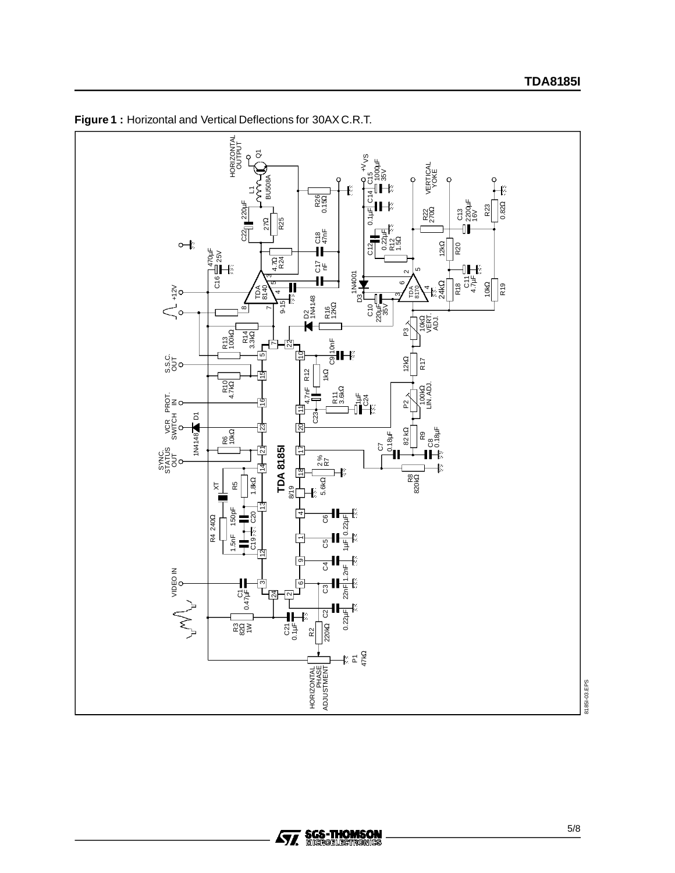

**Figure 1 :** Horizontal and Vertical Deflections for 30AX C.R.T.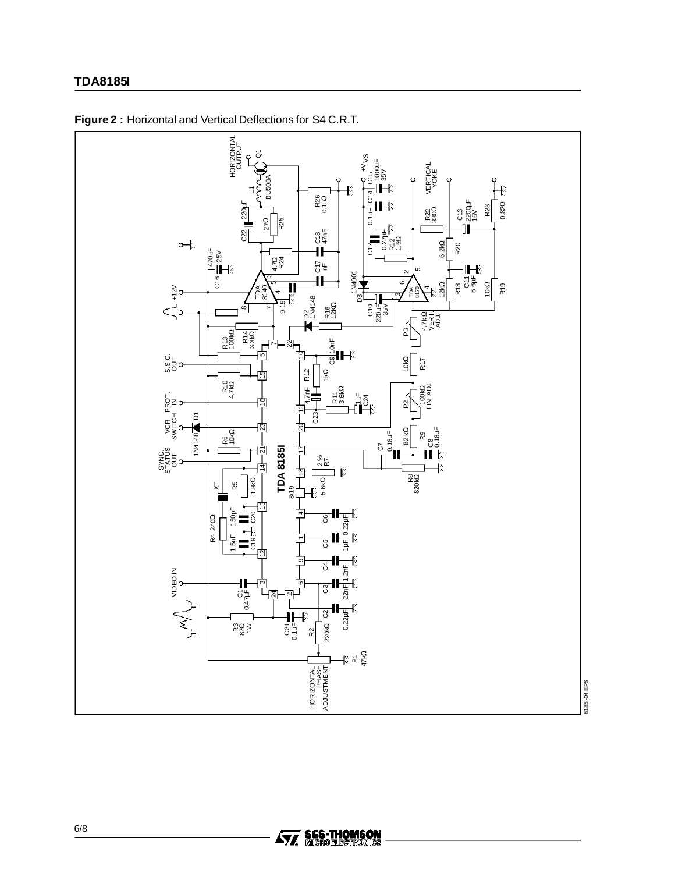#### **TDA8185I**



**Figure 2 :** Horizontal and Vertical Deflections for S4 C.R.T.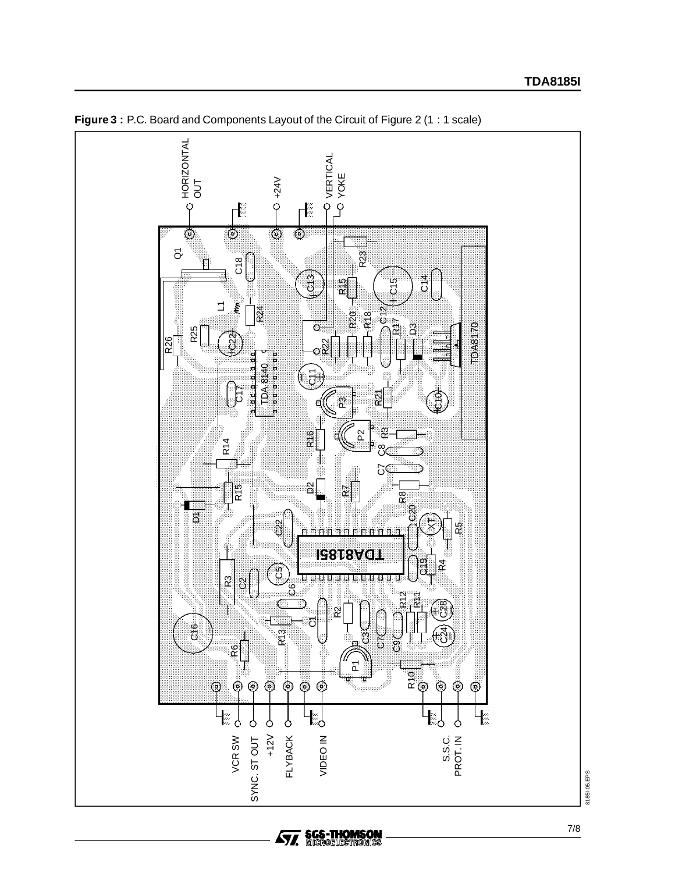

**Ayy SGS-THOMSON**<br>**Ayy** Microelectronics

**Figure 3: P.C. Board and Components Layout of the Circuit of Figure 2 (1: 1 scale)**